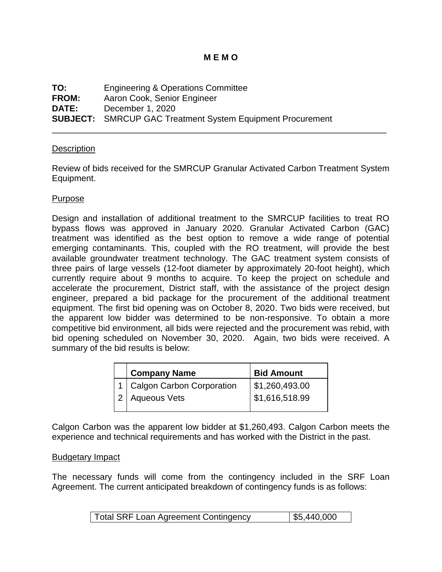## **M E M O**

| TO:          | <b>Engineering &amp; Operations Committee</b>                     |
|--------------|-------------------------------------------------------------------|
| <b>FROM:</b> | Aaron Cook, Senior Engineer                                       |
| <b>DATE:</b> | December 1, 2020                                                  |
|              | <b>SUBJECT:</b> SMRCUP GAC Treatment System Equipment Procurement |

### **Description**

Review of bids received for the SMRCUP Granular Activated Carbon Treatment System Equipment.

\_\_\_\_\_\_\_\_\_\_\_\_\_\_\_\_\_\_\_\_\_\_\_\_\_\_\_\_\_\_\_\_\_\_\_\_\_\_\_\_\_\_\_\_\_\_\_\_\_\_\_\_\_\_\_\_\_\_\_\_\_\_\_\_\_\_\_\_\_

## Purpose

Design and installation of additional treatment to the SMRCUP facilities to treat RO bypass flows was approved in January 2020. Granular Activated Carbon (GAC) treatment was identified as the best option to remove a wide range of potential emerging contaminants. This, coupled with the RO treatment, will provide the best available groundwater treatment technology. The GAC treatment system consists of three pairs of large vessels (12-foot diameter by approximately 20-foot height), which currently require about 9 months to acquire. To keep the project on schedule and accelerate the procurement, District staff, with the assistance of the project design engineer, prepared a bid package for the procurement of the additional treatment equipment. The first bid opening was on October 8, 2020. Two bids were received, but the apparent low bidder was determined to be non-responsive. To obtain a more competitive bid environment, all bids were rejected and the procurement was rebid, with bid opening scheduled on November 30, 2020. Again, two bids were received. A summary of the bid results is below:

| <b>Company Name</b>                               | <b>Bid Amount</b>                              |
|---------------------------------------------------|------------------------------------------------|
| 1   Calgon Carbon Corporation<br>2   Aqueous Vets | \$1,260,493.00<br>$\frac{1}{2}$ \$1,616,518.99 |
|                                                   |                                                |

Calgon Carbon was the apparent low bidder at \$1,260,493. Calgon Carbon meets the experience and technical requirements and has worked with the District in the past.

### Budgetary Impact

The necessary funds will come from the contingency included in the SRF Loan Agreement. The current anticipated breakdown of contingency funds is as follows:

| $\frac{1}{5}$ ,440,000<br><b>Total SRF Loan Agreement Contingency</b> |
|-----------------------------------------------------------------------|
|-----------------------------------------------------------------------|